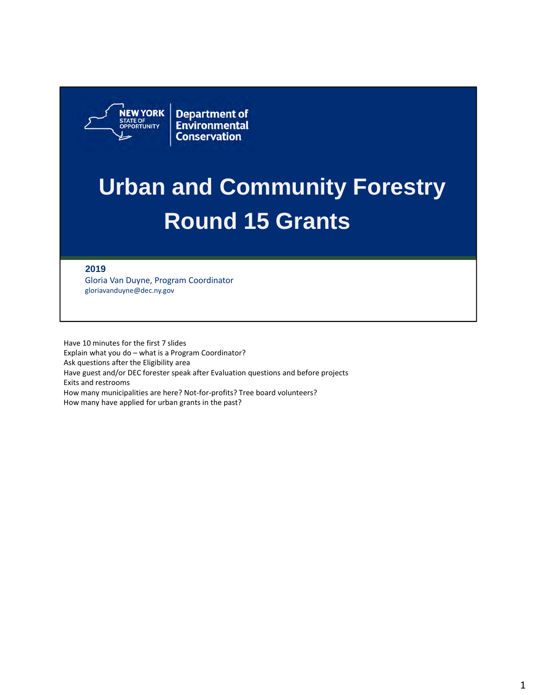

**Department of**<br>Environmental **Conservation** 

# **Urban and Community Forestry Round 15 Grants**

#### **2019**

 Gloria Van Duyne, Program Coordinator gloriavanduyne@dec.ny.gov

 Have 10 minutes for the first 7 slides Explain what you do – what is a Program Coordinator? Ask questions after the Eligibility area Have guest and/or DEC forester speak after Evaluation questions and before projects Exits and restrooms How many municipalities are here? Not‐for‐profits? Tree board volunteers? How many have applied for urban grants in the past?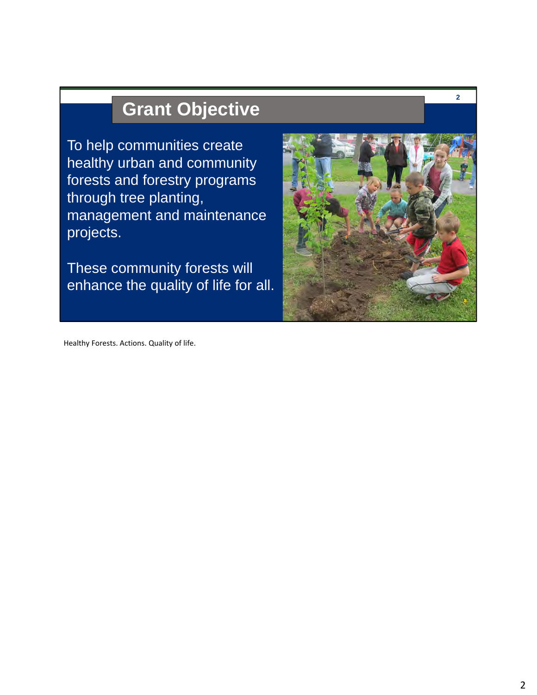# **Grant Objective**

To help communities create healthy urban and community forests and forestry programs through tree planting, management and maintenance projects.

These community forests will enhance the quality of life for all.



**2** 

Healthy Forests. Actions. Quality of life.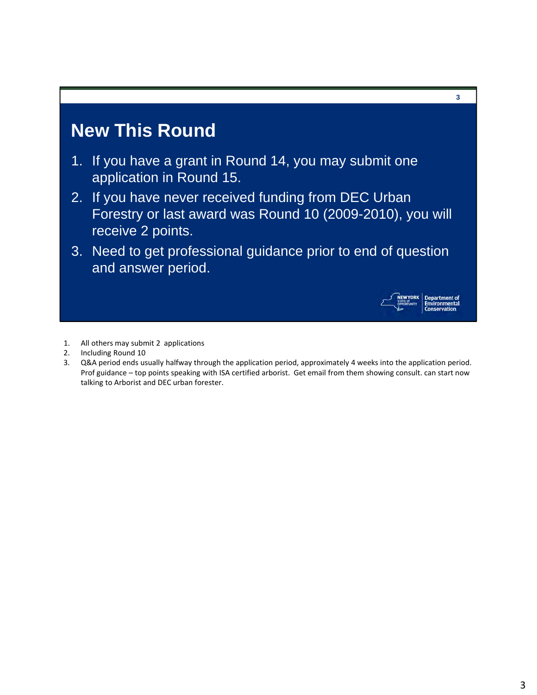### **New This Round**

- 1. If you have a grant in Round 14, you may submit one application in Round 15.
- 2. If you have never received funding from DEC Urban Forestry or last award was Round 10 (2009-2010), you will receive 2 points.
- 3. Need to get professional guidance prior to end of question and answer period.



artment of<br>ronmental

**3** 

- 1. All others may submit 2 applications
- 2. Including Round 10
- 3. Q&A period ends usually halfway through the application period, approximately 4 weeks into the application period. Prof guidance – top points speaking with ISA certified arborist. Get email from them showing consult. can start now talking to Arborist and DEC urban forester.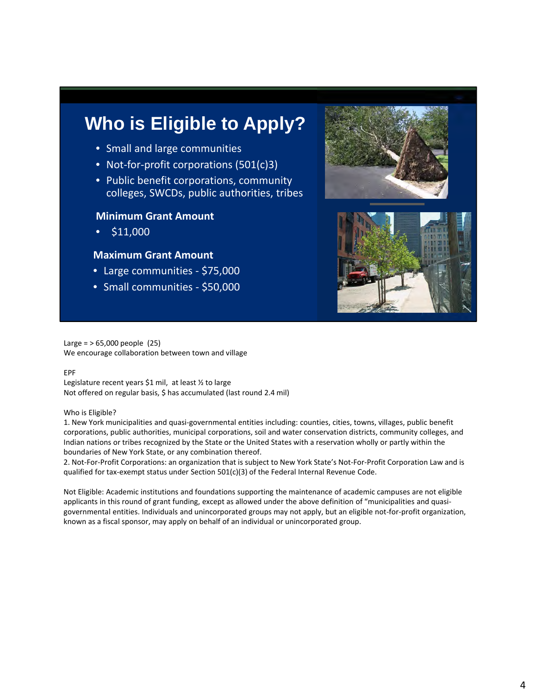## **Who is Eligible to Apply?**

- Small and large communities
- Not-for-profit corporations (501(c)3)
- • Public benefit corporations, community colleges, SWCDs, public authorities, tribes

#### **Minimum Grant Amount**

• \$11,000

#### **Maximum Grant Amount**

- Large communities ‐ \$75,000
- Small communities \$50,000





 Large = > 65,000 people (25) We encourage collaboration between town and village

#### EPF

 Legislature recent years \$1 mil, at least ½ to large Not offered on regular basis, \$ has accumulated (last round 2.4 mil)

#### Who is Eligible?

 1. New York municipalities and quasi‐governmental entities including: counties, cities, towns, villages, public benefit corporations, public authorities, municipal corporations, soil and water conservation districts, community colleges, and Indian nations or tribes recognized by the State or the United States with a reservation wholly or partly within the boundaries of New York State, or any combination thereof.

 2. Not‐For‐Profit Corporations: an organization that is subject to New York State's Not‐For‐Profit Corporation Law and is qualified for tax‐exempt status under Section 501(c)(3) of the Federal Internal Revenue Code.

 Not Eligible: Academic institutions and foundations supporting the maintenance of academic campuses are not eligible applicants in this round of grant funding, except as allowed under the above definition of "municipalities and quasi‐ governmental entities. Individuals and unincorporated groups may not apply, but an eligible not‐for‐profit organization, known as a fiscal sponsor, may apply on behalf of an individual or unincorporated group.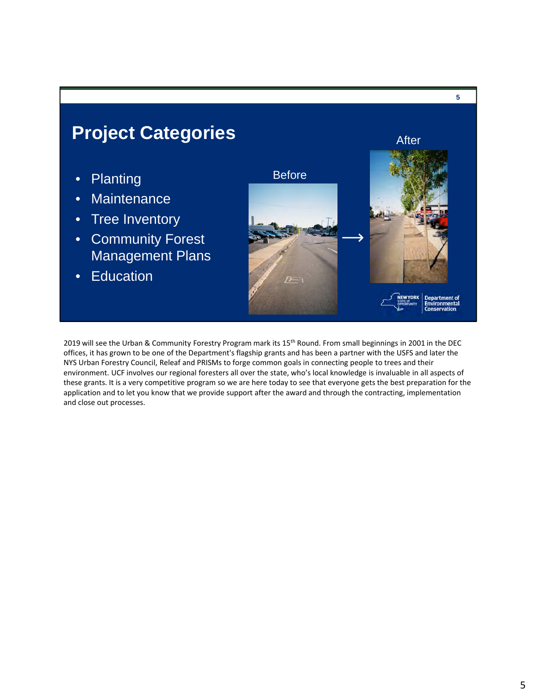

2019 will see the Urban & Community Forestry Program mark its 15<sup>th</sup> Round. From small beginnings in 2001 in the DEC offices, it has grown to be one of the Department's flagship grants and has been a partner with the USFS and later the NYS Urban Forestry Council, Releaf and PRISMs to forge common goals in connecting people to trees and their environment. UCF involves our regional foresters all over the state, who's local knowledge is invaluable in all aspects of these grants. It is a very competitive program so we are here today to see that everyone gets the best preparation for the application and to let you know that we provide support after the award and through the contracting, implementation and close out processes.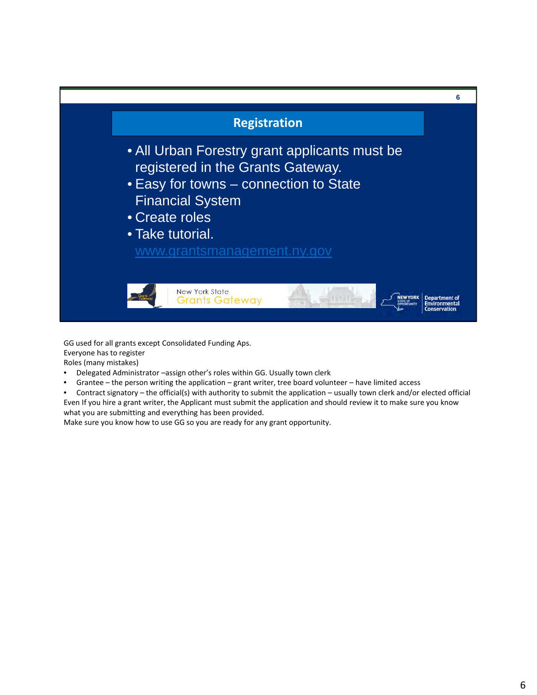

 GG used for all grants except Consolidated Funding Aps. Everyone has to register Roles (many mistakes)

- Delegated Administrator –assign other's roles within GG. Usually town clerk
- Grantee the person writing the application grant writer, tree board volunteer have limited access
- Contract signatory the official(s) with authority to submit the application usually town clerk and/or elected official Even If you hire a grant writer, the Applicant must submit the application and should review it to make sure you know what you are submitting and everything has been provided.

Make sure you know how to use GG so you are ready for any grant opportunity.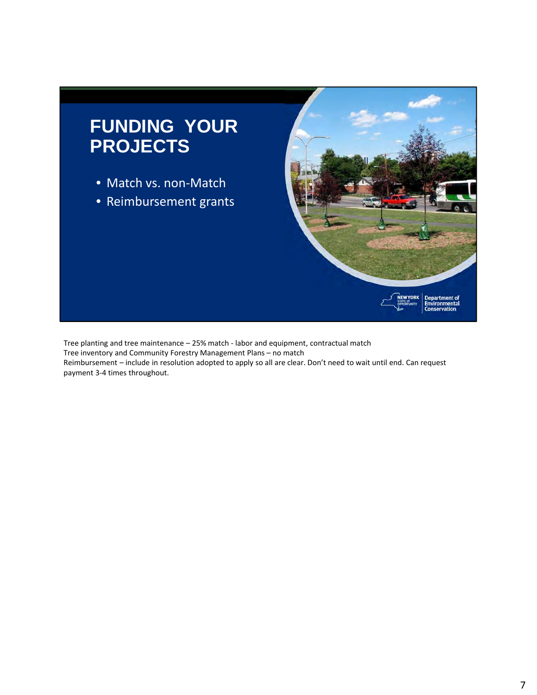

 Tree planting and tree maintenance – 25% match ‐ labor and equipment, contractual match Tree inventory and Community Forestry Management Plans – no match Reimbursement – include in resolution adopted to apply so all are clear. Don't need to wait until end. Can request payment 3‐4 times throughout.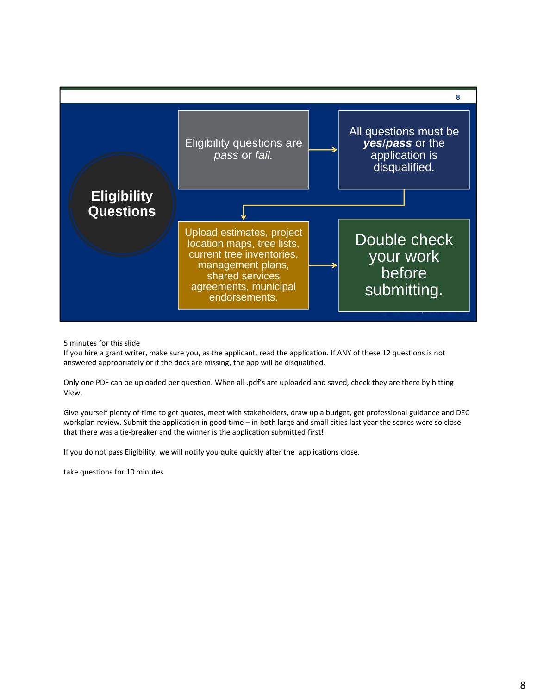

5 minutes for this slide

 If you hire a grant writer, make sure you, as the applicant, read the application. If ANY of these 12 questions is not answered appropriately or if the docs are missing, the app will be disqualified.

 Only one PDF can be uploaded per question. When all .pdf's are uploaded and saved, check they are there by hitting View.

 Give yourself plenty of time to get quotes, meet with stakeholders, draw up a budget, get professional guidance and DEC workplan review. Submit the application in good time – in both large and small cities last year the scores were so close that there was a tie‐breaker and the winner is the application submitted first!

If you do not pass Eligibility, we will notify you quite quickly after the applications close.

take questions for 10 minutes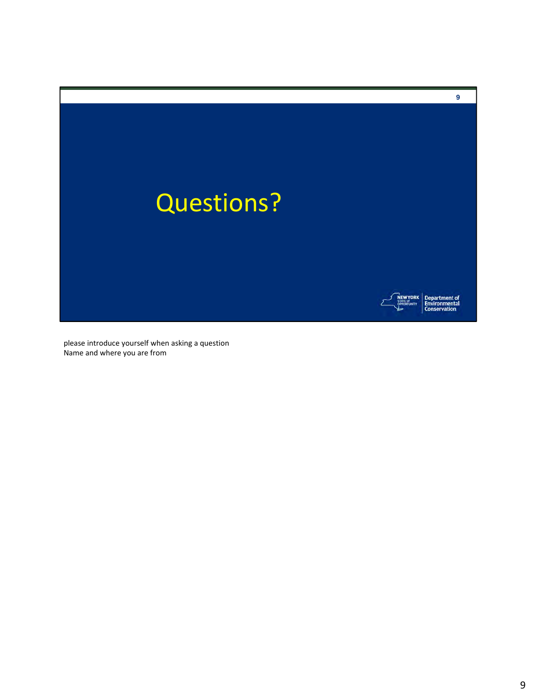

 please introduce yourself when asking a question Name and where you are from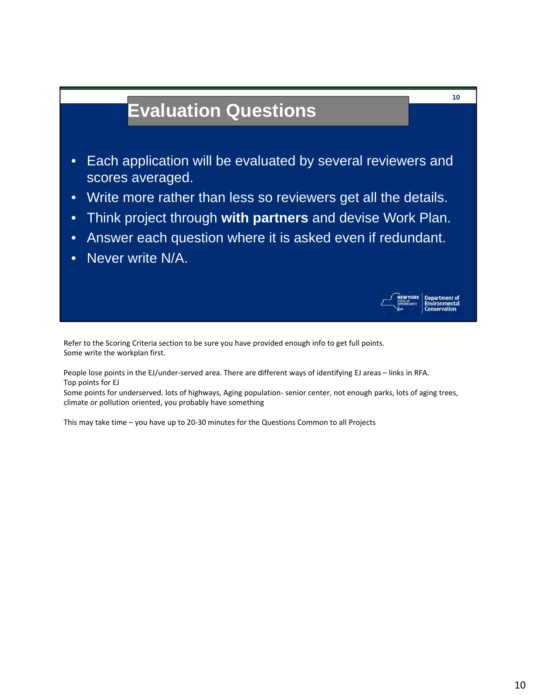# **Evaluation Questions**

- Each application will be evaluated by several reviewers and scores averaged.
- Write more rather than less so reviewers get all the details.
- Think project through **with partners** and devise Work Plan.
- Answer each question where it is asked even if redundant.
- Never write N/A.



 People lose points in the EJ/under‐served area. There are different ways of identifying EJ areas – links in RFA. Top points for EJ

 Some points for underserved. lots of highways, Aging population‐ senior center, not enough parks, lots of aging trees, climate or pollution oriented, you probably have something

This may take time – you have up to 20‐30 minutes for the Questions Common to all Projects

**10**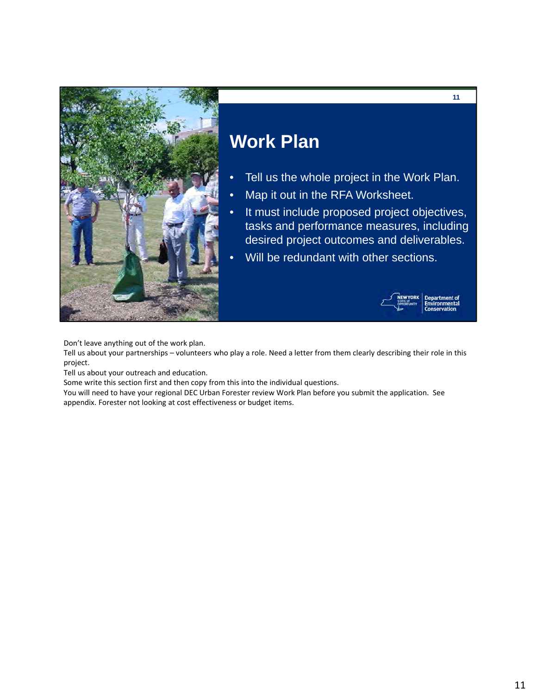

# **Work Plan**

- Tell us the whole project in the Work Plan.
- Map it out in the RFA Worksheet.
- It must include proposed project objectives, tasks and performance measures, including desired project outcomes and deliverables.
- Will be redundant with other sections.



**11** 

Don't leave anything out of the work plan.

 Tell us about your partnerships – volunteers who play a role. Need a letter from them clearly describing their role in this project.

Tell us about your outreach and education.

Some write this section first and then copy from this into the individual questions.

 You will need to have your regional DEC Urban Forester review Work Plan before you submit the application. See appendix. Forester not looking at cost effectiveness or budget items.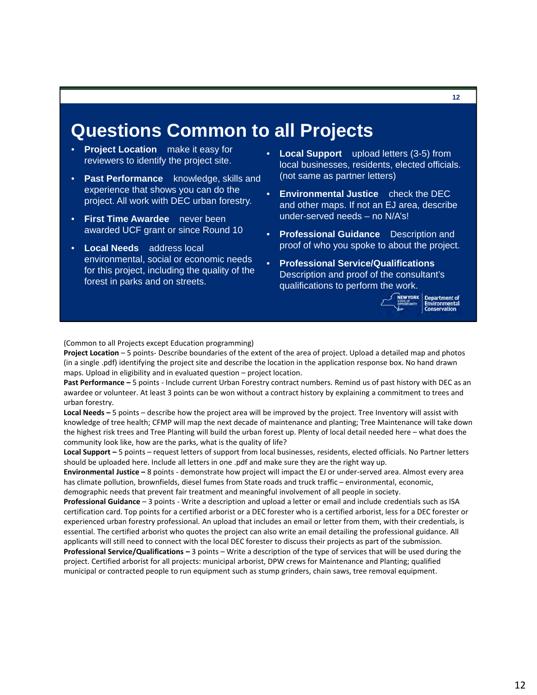#### **Questions Common to all Projects**

- • **Project Location** make it easy for reviewers to identify the project site.
- • **Past Performance** knowledge, skills and experience that shows you can do the project. All work with DEC urban forestry.
- • **First Time Awardee** never been awarded UCF grant or since Round 10
- • **Local Needs** address local environmental, social or economic needs for this project, including the quality of the forest in parks and on streets.
- • **Local Support** upload letters (3-5) from local businesses, residents, elected officials. (not same as partner letters)
- • **Environmental Justice** check the DEC and other maps. If not an EJ area, describe under-served needs – no N/A's!
- • **Professional Guidance** Description and proof of who you spoke to about the project.
- **Professional Service/Qualifications**  Description and proof of the consultant's qualifications to perform the work.



**Department of** 

**12** 

(Common to all Projects except Education programming)

 **Project Location** – 5 points‐ Describe boundaries of the extent of the area of project. Upload a detailed map and photos (in a single .pdf) identifying the project site and describe the location in the application response box. No hand drawn maps. Upload in eligibility and in evaluated question – project location.

 **Past Performance –** 5 points ‐ Include current Urban Forestry contract numbers. Remind us of past history with DEC as an awardee or volunteer. At least 3 points can be won without a contract history by explaining a commitment to trees and urban forestry.

Local Needs - 5 points - describe how the project area will be improved by the project. Tree Inventory will assist with knowledge of tree health; CFMP will map the next decade of maintenance and planting; Tree Maintenance will take down the highest risk trees and Tree Planting will build the urban forest up. Plenty of local detail needed here – what does the community look like, how are the parks, what is the quality of life?

 **Local Support –** 5 points – request letters of support from local businesses, residents, elected officials. No Partner letters should be uploaded here. Include all letters in one .pdf and make sure they are the right way up.

 **Environmental Justice –** 8 points ‐ demonstrate how project will impact the EJ or under‐served area. Almost every area has climate pollution, brownfields, diesel fumes from State roads and truck traffic – environmental, economic, demographic needs that prevent fair treatment and meaningful involvement of all people in society.

 **Professional Guidance** – 3 points ‐ Write a description and upload a letter or email and include credentials such as ISA certification card. Top points for a certified arborist or a DEC forester who is a certified arborist, less for a DEC forester or experienced urban forestry professional. An upload that includes an email or letter from them, with their credentials, is essential. The certified arborist who quotes the project can also write an email detailing the professional guidance. All applicants will still need to connect with the local DEC forester to discuss their projects as part of the submission.

 **Professional Service/Qualifications –** 3 points – Write a description of the type of services that will be used during the project. Certified arborist for all projects: municipal arborist, DPW crews for Maintenance and Planting; qualified municipal or contracted people to run equipment such as stump grinders, chain saws, tree removal equipment.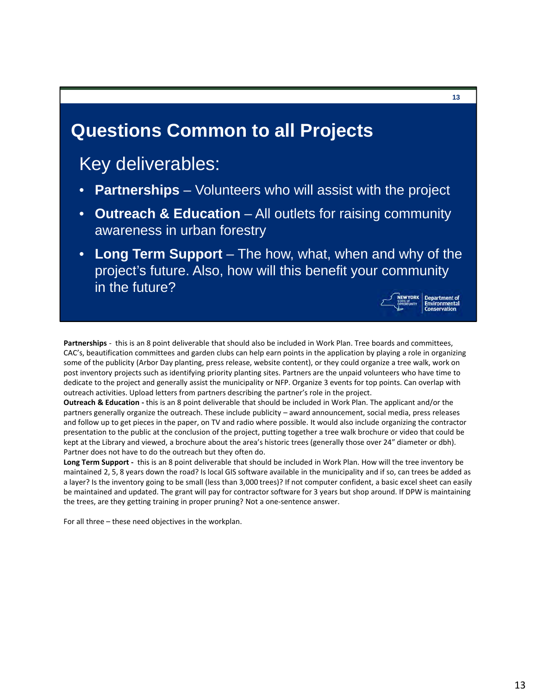#### **Questions Common to all Projects**

### Key deliverables:

- **Partnerships**  Volunteers who will assist with the project
- **Outreach & Education**  All outlets for raising community awareness in urban forestry
- **Long Term Support**  The how, what, when and why of the project's future. Also, how will this benefit your community in the future?



 **Partnerships** ‐ this is an 8 point deliverable that should also be included in Work Plan. Tree boards and committees, CAC's, beautification committees and garden clubs can help earn points in the application by playing a role in organizing some of the publicity (Arbor Day planting, press release, website content), or they could organize a tree walk, work on post inventory projects such as identifying priority planting sites. Partners are the unpaid volunteers who have time to dedicate to the project and generally assist the municipality or NFP. Organize 3 events for top points. Can overlap with outreach activities. Upload letters from partners describing the partner's role in the project.

 **Outreach & Education ‐** this is an 8 point deliverable that should be included in Work Plan. The applicant and/or the partners generally organize the outreach. These include publicity – award announcement, social media, press releases and follow up to get pieces in the paper, on TV and radio where possible. It would also include organizing the contractor presentation to the public at the conclusion of the project, putting together a tree walk brochure or video that could be kept at the Library and viewed, a brochure about the area's historic trees (generally those over 24" diameter or dbh). Partner does not have to do the outreach but they often do.

 **Long Term Support ‐** this is an 8 point deliverable that should be included in Work Plan. How will the tree inventory be maintained 2, 5, 8 years down the road? Is local GIS software available in the municipality and if so, can trees be added as a layer? Is the inventory going to be small (less than 3,000 trees)? If not computer confident, a basic excel sheet can easily be maintained and updated. The grant will pay for contractor software for 3 years but shop around. If DPW is maintaining the trees, are they getting training in proper pruning? Not a one‐sentence answer.

For all three – these need objectives in the workplan.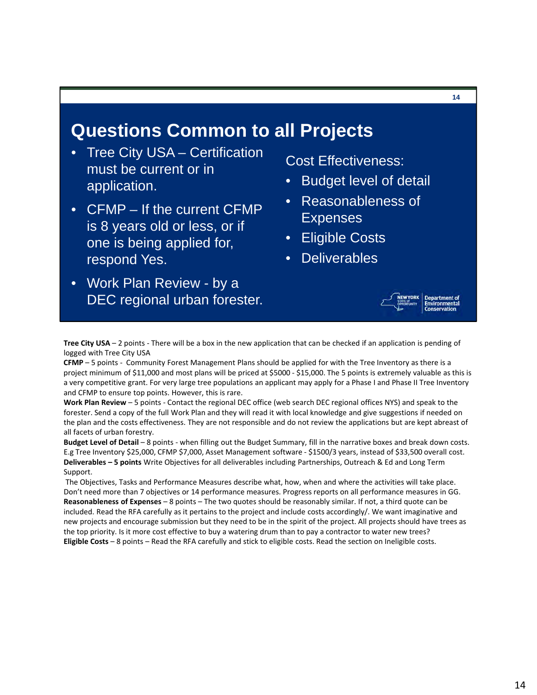#### **Questions Common to all Projects**

- **Tree City USA Certification** must be current or in application.
- CFMP If the current CFMP is 8 years old or less, or if one is being applied for, respond Yes.
- Work Plan Review by a DEC regional urban forester.

Cost Effectiveness:

- Budget level of detail
- Reasonableness of **Expenses**
- **Eligible Costs**
- Deliverables



 **Tree City USA** – 2 points ‐ There will be a box in the new application that can be checked if an application is pending of logged with Tree City USA

 **CFMP** – 5 points ‐ Community Forest Management Plans should be applied for with the Tree Inventory as there is a project minimum of \$11,000 and most plans will be priced at \$5000 ‐ \$15,000. The 5 points is extremely valuable as this is a very competitive grant. For very large tree populations an applicant may apply for a Phase I and Phase II Tree Inventory and CFMP to ensure top points. However, this is rare.

 **Work Plan Review** – 5 points ‐ Contact the regional DEC office (web search DEC regional offices NYS) and speak to the forester. Send a copy of the full Work Plan and they will read it with local knowledge and give suggestions if needed on the plan and the costs effectiveness. They are not responsible and do not review the applications but are kept abreast of all facets of urban forestry.

 **Budget Level of Detail** – 8 points ‐ when filling out the Budget Summary, fill in the narrative boxes and break down costs. E.g Tree Inventory \$25,000, CFMP \$7,000, Asset Management software ‐ \$1500/3 years, instead of \$33,500 overall cost.  **Deliverables – 5 points** Write Objectives for all deliverables including Partnerships, Outreach & Ed and Long Term Support.

 The Objectives, Tasks and Performance Measures describe what, how, when and where the activities will take place. Don't need more than 7 objectives or 14 performance measures. Progress reports on all performance measures in GG.  **Reasonableness of Expenses** – 8 points – The two quotes should be reasonably similar. If not, a third quote can be included. Read the RFA carefully as it pertains to the project and include costs accordingly/. We want imaginative and new projects and encourage submission but they need to be in the spirit of the project. All projects should have trees as the top priority. Is it more cost effective to buy a watering drum than to pay a contractor to water new trees?  **Eligible Costs** – 8 points – Read the RFA carefully and stick to eligible costs. Read the section on Ineligible costs.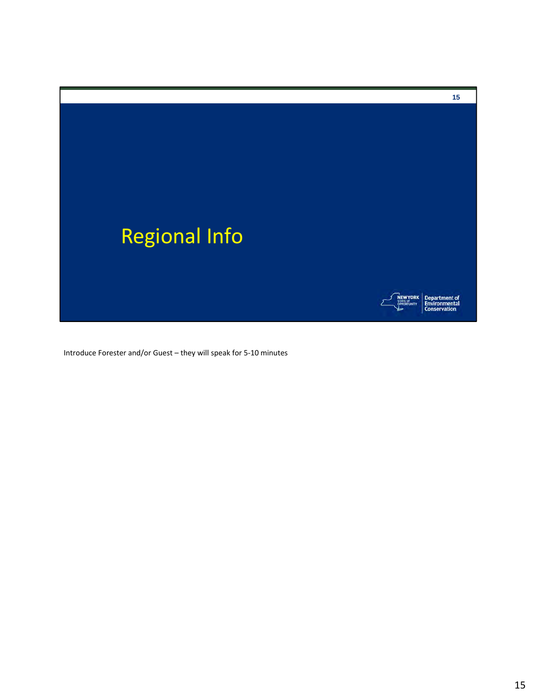

Introduce Forester and/or Guest – they will speak for 5‐10 minutes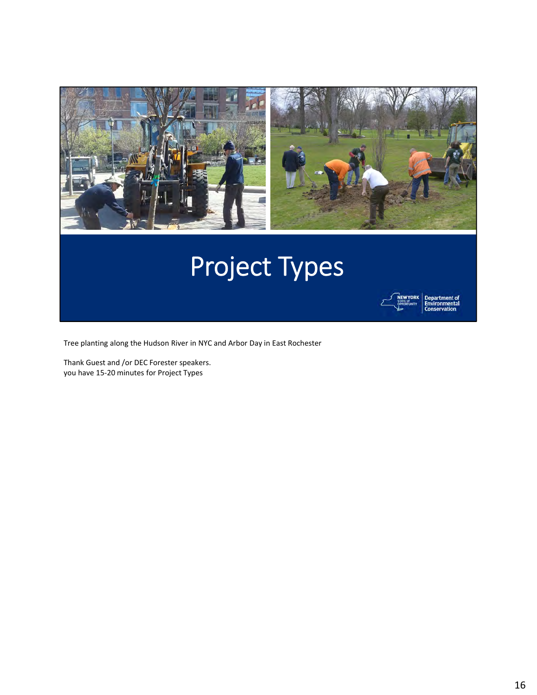



partment of<br>vironmental

Tree planting along the Hudson River in NYC and Arbor Day in East Rochester

 Thank Guest and /or DEC Forester speakers. you have 15‐20 minutes for Project Types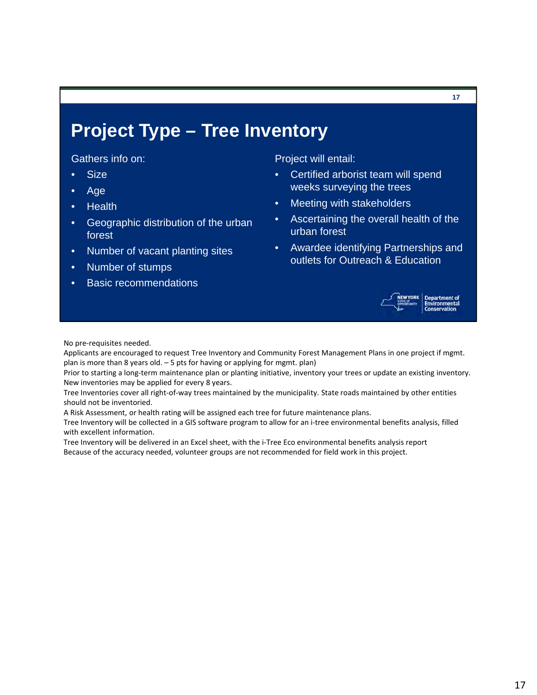### **Project Type – Tree Inventory**

Gathers info on:

- Size
- Age
- **Health**
- Geographic distribution of the urban forest
- Number of vacant planting sites
- Number of stumps
- **Basic recommendations**

Project will entail:

- Certified arborist team will spend weeks surveying the trees
- Meeting with stakeholders
- Ascertaining the overall health of the urban forest
- Awardee identifying Partnerships and outlets for Outreach & Education



artment of

No pre‐requisites needed.

 Applicants are encouraged to request Tree Inventory and Community Forest Management Plans in one project if mgmt. plan is more than 8 years old. – 5 pts for having or applying for mgmt. plan)

 Prior to starting a long‐term maintenance plan or planting initiative, inventory your trees or update an existing inventory. New inventories may be applied for every 8 years.

 Tree Inventories cover all right‐of‐way trees maintained by the municipality. State roads maintained by other entities should not be inventoried.

A Risk Assessment, or health rating will be assigned each tree for future maintenance plans.

 Tree Inventory will be collected in a GIS software program to allow for an i‐tree environmental benefits analysis, filled with excellent information.

 Tree Inventory will be delivered in an Excel sheet, with the i‐Tree Eco environmental benefits analysis report Because of the accuracy needed, volunteer groups are not recommended for field work in this project.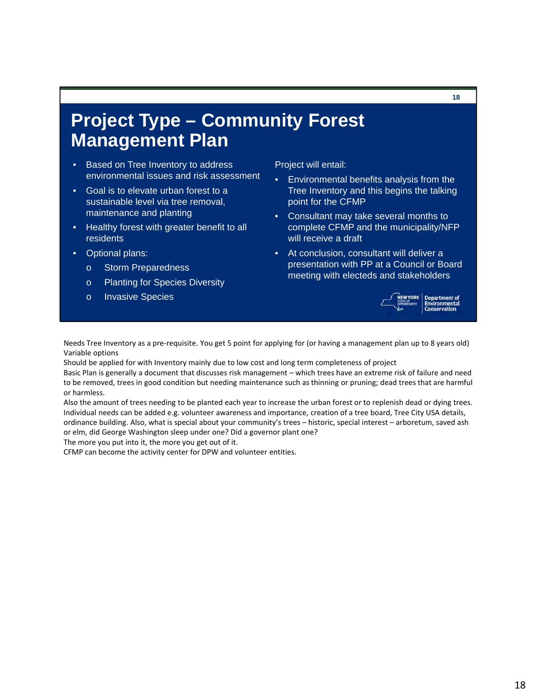### **Project Type – Community Forest Management Plan**

- Based on Tree Inventory to address environmental issues and risk assessment
- Goal is to elevate urban forest to a sustainable level via tree removal, maintenance and planting
- Healthy forest with greater benefit to all residents
- Optional plans:
	- o Storm Preparedness
	- o Planting for Species Diversity
	- o Invasive Species

Project will entail:

- Environmental benefits analysis from the Tree Inventory and this begins the talking point for the CFMP
- Consultant may take several months to complete CFMP and the municipality/NFP will receive a draft
- At conclusion, consultant will deliver a presentation with PP at a Council or Board meeting with electeds and stakeholders



partment of<br>*r*ironmental

**18** 

 Needs Tree Inventory as a pre‐requisite. You get 5 point for applying for (or having a management plan up to 8 years old) Variable options

Should be applied for with Inventory mainly due to low cost and long term completeness of project

 Basic Plan is generally a document that discusses risk management – which trees have an extreme risk of failure and need to be removed, trees in good condition but needing maintenance such as thinning or pruning; dead trees that are harmful or harmless.

 Also the amount of trees needing to be planted each year to increase the urban forest or to replenish dead or dying trees. Individual needs can be added e.g. volunteer awareness and importance, creation of a tree board, Tree City USA details, ordinance building. Also, what is special about your community's trees – historic, special interest – arboretum, saved ash or elm, did George Washington sleep under one? Did a governor plant one?

The more you put into it, the more you get out of it.

CFMP can become the activity center for DPW and volunteer entities.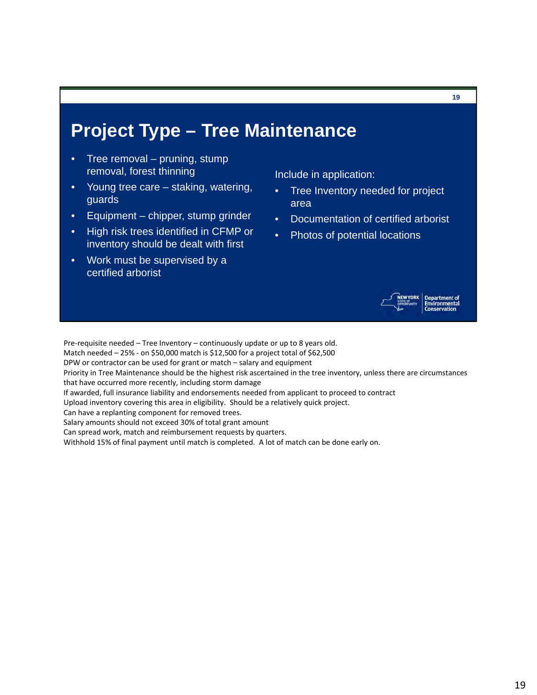### **Project Type – Tree Maintenance**

- Tree removal pruning, stump removal, forest thinning
- Young tree care staking, watering, guards
- Equipment chipper, stump grinder
- High risk trees identified in CFMP or inventory should be dealt with first
- Work must be supervised by a certified arborist

Include in application:

- Tree Inventory needed for project area
- Documentation of certified arborist
- Photos of potential locations



**19** 

Pre‐requisite needed – Tree Inventory – continuously update or up to 8 years old.

Match needed – 25% ‐ on \$50,000 match is \$12,500 for a project total of \$62,500

DPW or contractor can be used for grant or match – salary and equipment

 Priority in Tree Maintenance should be the highest risk ascertained in the tree inventory, unless there are circumstances that have occurred more recently, including storm damage

If awarded, full insurance liability and endorsements needed from applicant to proceed to contract

Upload inventory covering this area in eligibility. Should be a relatively quick project.

Can have a replanting component for removed trees.

Salary amounts should not exceed 30% of total grant amount

Can spread work, match and reimbursement requests by quarters.

Withhold 15% of final payment until match is completed. A lot of match can be done early on.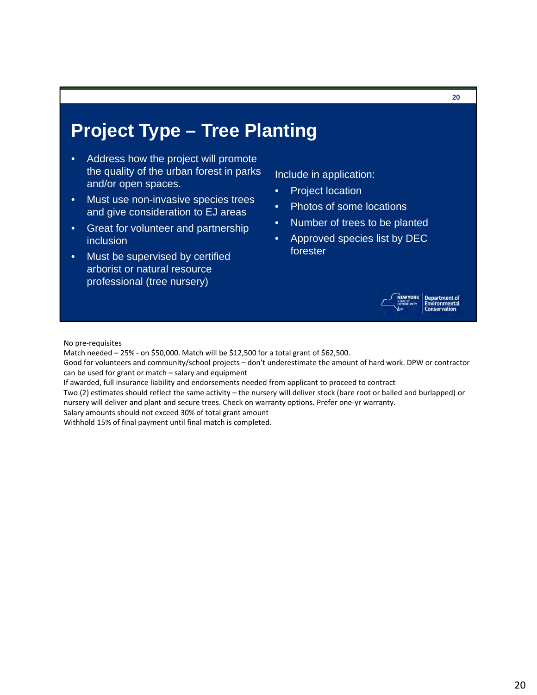### **Project Type – Tree Planting**

- Address how the project will promote the quality of the urban forest in parks and/or open spaces.
- Must use non-invasive species trees and give consideration to EJ areas
- Great for volunteer and partnership inclusion
- Must be supervised by certified arborist or natural resource professional (tree nursery)

Include in application:

- Project location
- Photos of some locations
- Number of trees to be planted
- Approved species list by DEC forester



**20** 

No pre‐requisites

Match needed – 25% ‐ on \$50,000. Match will be \$12,500 for a total grant of \$62,500.

 Good for volunteers and community/school projects – don't underestimate the amount of hard work. DPW or contractor can be used for grant or match – salary and equipment

If awarded, full insurance liability and endorsements needed from applicant to proceed to contract

 Two (2) estimates should reflect the same activity – the nursery will deliver stock (bare root or balled and burlapped) or nursery will deliver and plant and secure trees. Check on warranty options. Prefer one‐yr warranty.

Salary amounts should not exceed 30% of total grant amount

Withhold 15% of final payment until final match is completed.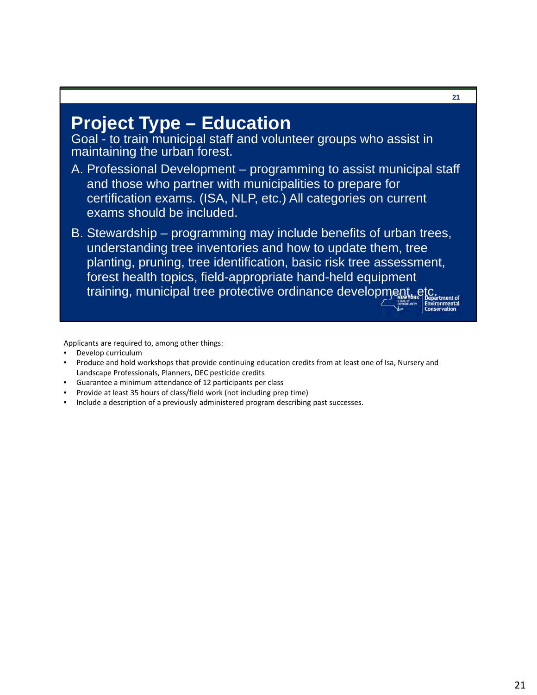### **Project Type – Education**

Goal - to train municipal staff and volunteer groups who assist in maintaining the urban forest.

- A. Professional Development programming to assist municipal staff and those who partner with municipalities to prepare for certification exams. (ISA, NLP, etc.) All categories on current exams should be included.
- B. Stewardship programming may include benefits of urban trees, understanding tree inventories and how to update them, tree planting, pruning, tree identification, basic risk tree assessment, forest health topics, field-appropriate hand-held equipment training, municipal tree protective ordinance development, etc.

Applicants are required to, among other things:

- Develop curriculum
- Produce and hold workshops that provide continuing education credits from at least one of Isa, Nursery and Landscape Professionals, Planners, DEC pesticide credits
- Guarantee a minimum attendance of 12 participants per class
- Provide at least 35 hours of class/field work (not including prep time)
- Include a description of a previously administered program describing past successes.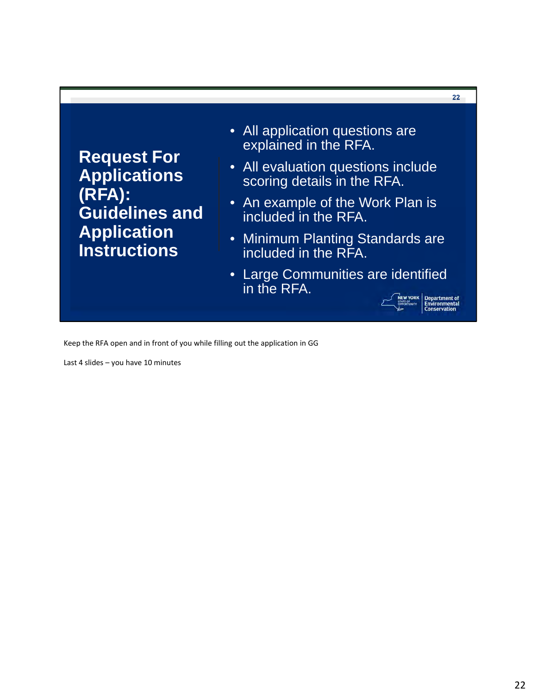**Request For Applications (RFA): Guidelines and Application Instructions** 

- All application questions are explained in the RFA.
- All evaluation questions include scoring details in the RFA.
- An example of the Work Plan is included in the RFA.
- Minimum Planting Standards are included in the RFA.
- Large Communities are identified in the RFA.

**Department of<br>Environmental**<br>Conservation

**22** 

Keep the RFA open and in front of you while filling out the application in GG

Last 4 slides – you have 10 minutes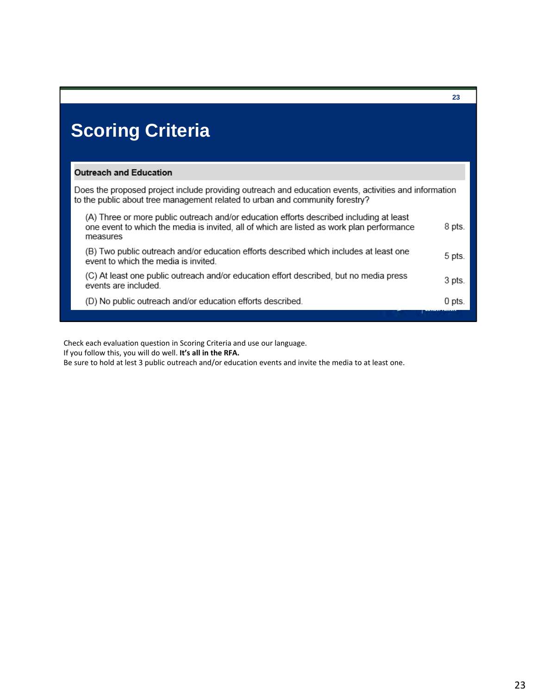# **Scoring Criteria**

#### **Outreach and Education**

Does the proposed project include providing outreach and education events, activities and information to the public about tree management related to urban and community forestry?

| (A) Three or more public outreach and/or education efforts described including at least<br>one event to which the media is invited, all of which are listed as work plan performance<br>measures | 8 pts. |
|--------------------------------------------------------------------------------------------------------------------------------------------------------------------------------------------------|--------|
| (B) Two public outreach and/or education efforts described which includes at least one<br>event to which the media is invited.                                                                   | 5 pts. |
| (C) At least one public outreach and/or education effort described, but no media press<br>events are included.                                                                                   | 3 pts. |
| (D) No public outreach and/or education efforts described.                                                                                                                                       | 0 pts. |
|                                                                                                                                                                                                  |        |

Check each evaluation question in Scoring Criteria and use our language.

 If you follow this, you will do well. **It's all in the RFA.**

Be sure to hold at lest 3 public outreach and/or education events and invite the media to at least one.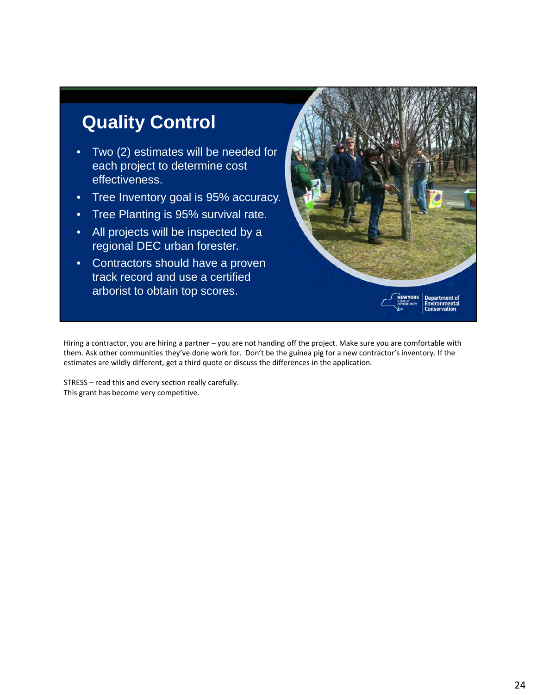## **Quality Control**

- Two (2) estimates will be needed for each project to determine cost effectiveness.
- Tree Inventory goal is 95% accuracy.
- Tree Planting is 95% survival rate.
- All projects will be inspected by a regional DEC urban forester.
- Contractors should have a proven track record and use a certified arborist to obtain top scores.



 Hiring a contractor, you are hiring a partner – you are not handing off the project. Make sure you are comfortable with them. Ask other communities they've done work for. Don't be the guinea pig for a new contractor's inventory. If the estimates are wildly different, get a third quote or discuss the differences in the application.

 STRESS – read this and every section really carefully. This grant has become very competitive.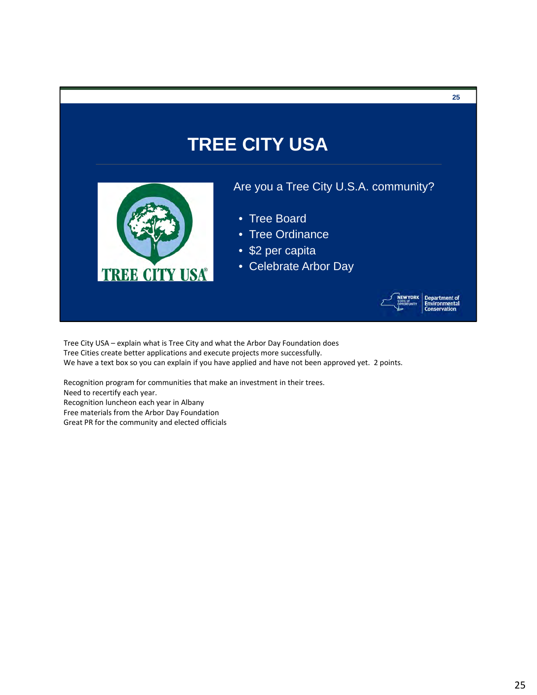# **TREE CITY USA**



#### Are you a Tree City U.S.A. community?

- Tree Board
- Tree Ordinance
- \$2 per capita
- Celebrate Arbor Day



rtment of<br>onmental

**25** 

 Tree City USA – explain what is Tree City and what the Arbor Day Foundation does Tree Cities create better applications and execute projects more successfully. We have a text box so you can explain if you have applied and have not been approved yet. 2 points.

 Recognition program for communities that make an investment in their trees. Need to recertify each year. Recognition luncheon each year in Albany Free materials from the Arbor Day Foundation Great PR for the community and elected officials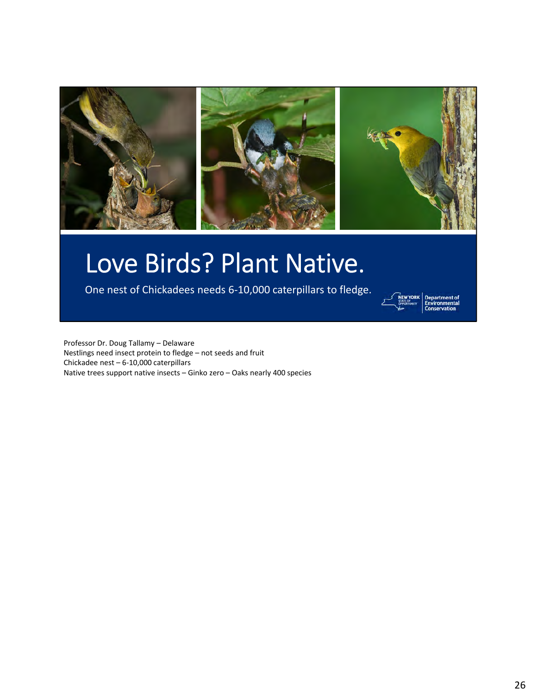

# Love Birds? Plant Native.

One nest of Chickadees needs 6‐10,000 caterpillars to fledge.



partment of<br>dronmental

 Professor Dr. Doug Tallamy – Delaware Nestlings need insect protein to fledge – not seeds and fruit Chickadee nest – 6‐10,000 caterpillars Native trees support native insects – Ginko zero – Oaks nearly 400 species